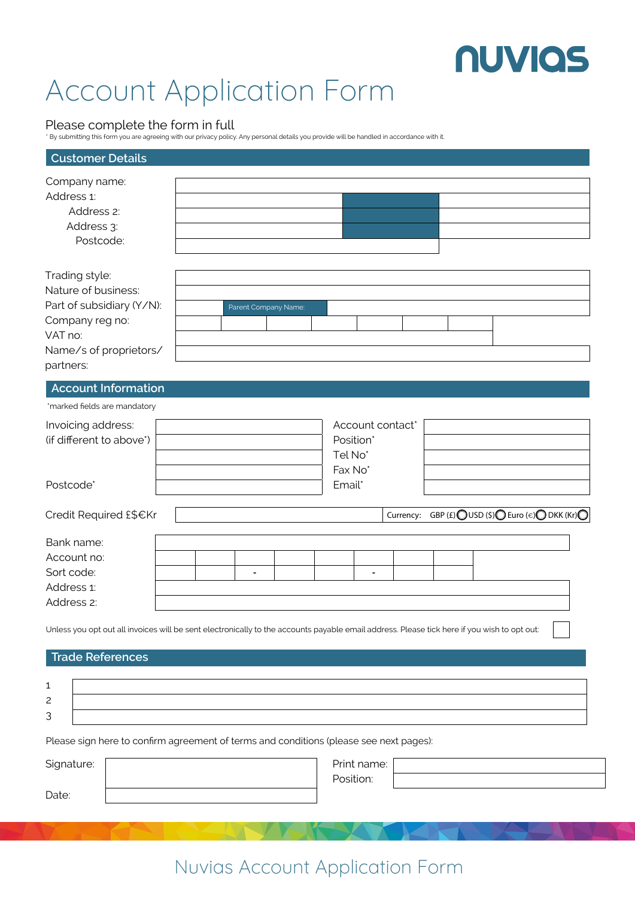$\begin{matrix} 0 & 0 & 0 & 0 \end{matrix}$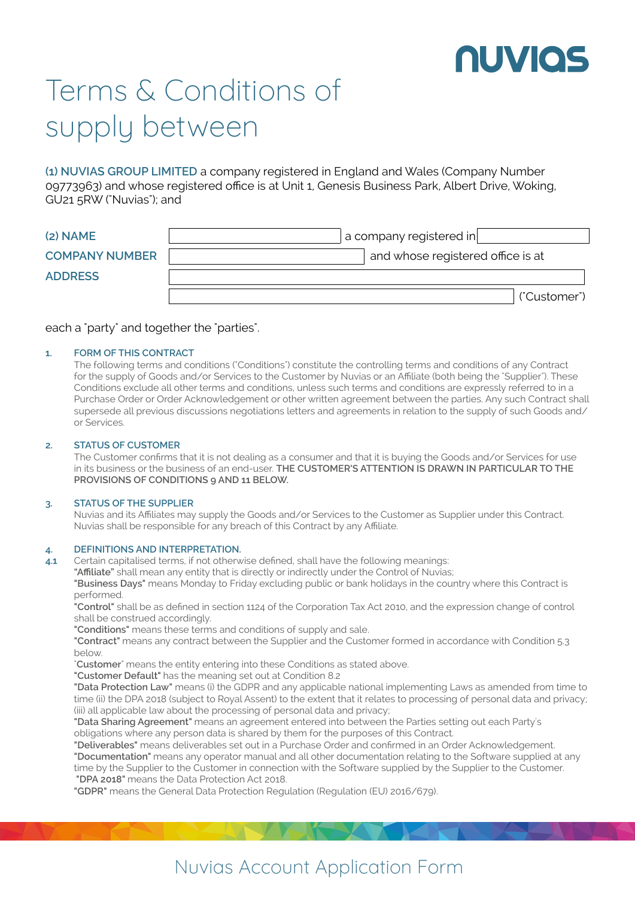

## Terms & Conditions of supply between

**(1) NUVIAS GROUP LIMITED** a company registered in England and Wales (Company Number 09773963) and whose registered office is at Unit 1, Genesis Business Park, Albert Drive, Woking, GU21 5RW ("Nuvias"); and

| $(2)$ NAME            | $\,$ a company registered in $\,$ |
|-----------------------|-----------------------------------|
| <b>COMPANY NUMBER</b> | and whose registered office is at |
| <b>ADDRESS</b>        |                                   |
|                       | ("Customer")                      |

### each a "party" and together the "parties".

#### **FORM OF THIS CONTRACT 1.**

The following terms and conditions ("Conditions") constitute the controlling terms and conditions of any Contract for the supply of Goods and/or Services to the Customer by Nuvias or an Affiliate (both being the "Supplier"). These Conditions exclude all other terms and conditions, unless such terms and conditions are expressly referred to in a Purchase Order or Order Acknowledgement or other written agreement between the parties. Any such Contract shall supersede all previous discussions negotiations letters and agreements in relation to the supply of such Goods and/ or Services.

### **STATUS OF CUSTOMER 2.**

The Customer confirms that it is not dealing as a consumer and that it is buying the Goods and/or Services for use in its business or the business of an end-user. **THE CUSTOMER'S ATTENTION IS DRAWN IN PARTICULAR TO THE PROVISIONS OF CONDITIONS 9 AND 11 BELOW.**

#### **STATUS OF THE SUPPLIER 3.**

Nuvias and its Affiliates may supply the Goods and/or Services to the Customer as Supplier under this Contract. Nuvias shall be responsible for any breach of this Contract by any Affiliate.

#### **DEFINITIONS AND INTERPRETATION. 4.**

Certain capitalised terms, if not otherwise defined, shall have the following meanings: **4.1**

**"Affiliate"** shall mean any entity that is directly or indirectly under the Control of Nuvias;

**"Business Days"** means Monday to Friday excluding public or bank holidays in the country where this Contract is performed.

**"Control"** shall be as defined in section 1124 of the Corporation Tax Act 2010, and the expression change of control shall be construed accordingly.

**"Conditions"** means these terms and conditions of supply and sale.

**"Contract"** means any contract between the Supplier and the Customer formed in accordance with Condition 5.3 below.

"**Customer**" means the entity entering into these Conditions as stated above.

**"Customer Default"** has the meaning set out at Condition 8.2

**"Data Protection Law"** means (i) the GDPR and any applicable national implementing Laws as amended from time to time (ii) the DPA 2018 (subject to Royal Assent) to the extent that it relates to processing of personal data and privacy; (iii) all applicable law about the processing of personal data and privacy;

**"Data Sharing Agreement"** means an agreement entered into between the Parties setting out each Party's obligations where any person data is shared by them for the purposes of this Contract.

**"Deliverables"** means deliverables set out in a Purchase Order and confirmed in an Order Acknowledgement.

**"Documentation"** means any operator manual and all other documentation relating to the Software supplied at any time by the Supplier to the Customer in connection with the Software supplied by the Supplier to the Customer.  **"DPA 2018"** means the Data Protection Act 2018.

**"GDPR"** means the General Data Protection Regulation (Regulation (EU) 2016/679).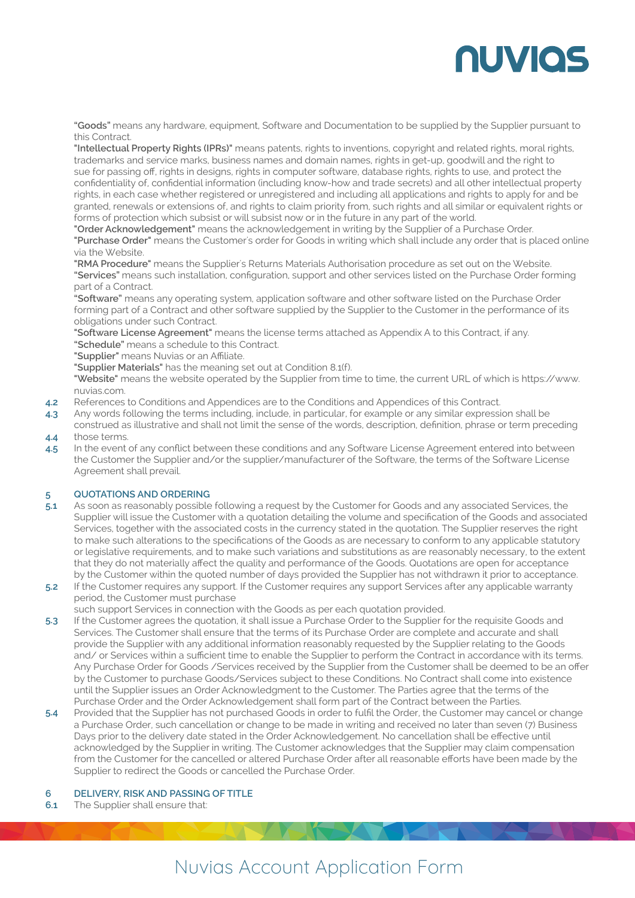## **NUVIOS**

**"Goods"** means any hardware, equipment, Software and Documentation to be supplied by the Supplier pursuant to this Contract.

**"Intellectual Property Rights (IPRs)"** means patents, rights to inventions, copyright and related rights, moral rights, trademarks and service marks, business names and domain names, rights in get-up, goodwill and the right to sue for passing off, rights in designs, rights in computer software, database rights, rights to use, and protect the confidentiality of, confidential information (including know-how and trade secrets) and all other intellectual property rights, in each case whether registered or unregistered and including all applications and rights to apply for and be granted, renewals or extensions of, and rights to claim priority from, such rights and all similar or equivalent rights or forms of protection which subsist or will subsist now or in the future in any part of the world.

**"Order Acknowledgement"** means the acknowledgement in writing by the Supplier of a Purchase Order. **"Purchase Order"** means the Customer's order for Goods in writing which shall include any order that is placed online via the Website.

**"RMA Procedure"** means the Supplier's Returns Materials Authorisation procedure as set out on the Website. **"Services"** means such installation, configuration, support and other services listed on the Purchase Order forming part of a Contract.

**"Software"** means any operating system, application software and other software listed on the Purchase Order forming part of a Contract and other software supplied by the Supplier to the Customer in the performance of its obligations under such Contract.

**"Software License Agreement"** means the license terms attached as Appendix A to this Contract, if any. **"Schedule"** means a schedule to this Contract.

**"Supplier"** means Nuvias or an Affiliate.

**"Supplier Materials"** has the meaning set out at Condition 8.1(f).

**"Website"** means the website operated by the Supplier from time to time, the current URL of which is https://www. nuvias.com.

- References to Conditions and Appendices are to the Conditions and Appendices of this Contract. **4.2**
- Any words following the terms including, include, in particular, for example or any similar expression shall be construed as illustrative and shall not limit the sense of the words, description, definition, phrase or term preceding those terms. **4.3 4.4**
- In the event of any conflict between these conditions and any Software License Agreement entered into between the Customer the Supplier and/or the supplier/manufacturer of the Software, the terms of the Software License Agreement shall prevail. **4.5**

### **QUOTATIONS AND ORDERING 5**

- As soon as reasonably possible following a request by the Customer for Goods and any associated Services, the Supplier will issue the Customer with a quotation detailing the volume and specification of the Goods and associated Services, together with the associated costs in the currency stated in the quotation. The Supplier reserves the right to make such alterations to the specifications of the Goods as are necessary to conform to any applicable statutory or legislative requirements, and to make such variations and substitutions as are reasonably necessary, to the extent that they do not materially affect the quality and performance of the Goods. Quotations are open for acceptance by the Customer within the quoted number of days provided the Supplier has not withdrawn it prior to acceptance. **5.1**
- If the Customer requires any support. If the Customer requires any support Services after any applicable warranty period, the Customer must purchase **5.2**

such support Services in connection with the Goods as per each quotation provided.

- If the Customer agrees the quotation, it shall issue a Purchase Order to the Supplier for the requisite Goods and Services. The Customer shall ensure that the terms of its Purchase Order are complete and accurate and shall provide the Supplier with any additional information reasonably requested by the Supplier relating to the Goods and/ or Services within a sufficient time to enable the Supplier to perform the Contract in accordance with its terms. Any Purchase Order for Goods /Services received by the Supplier from the Customer shall be deemed to be an offer by the Customer to purchase Goods/Services subject to these Conditions. No Contract shall come into existence until the Supplier issues an Order Acknowledgment to the Customer. The Parties agree that the terms of the Purchase Order and the Order Acknowledgement shall form part of the Contract between the Parties. **5.3**
- Provided that the Supplier has not purchased Goods in order to fulfil the Order, the Customer may cancel or change a Purchase Order, such cancellation or change to be made in writing and received no later than seven (7) Business Days prior to the delivery date stated in the Order Acknowledgement. No cancellation shall be effective until acknowledged by the Supplier in writing. The Customer acknowledges that the Supplier may claim compensation from the Customer for the cancelled or altered Purchase Order after all reasonable efforts have been made by the Supplier to redirect the Goods or cancelled the Purchase Order. **5.4**

### **DELIVERY, RISK AND PASSING OF TITLE 6**

The Supplier shall ensure that: **6.1**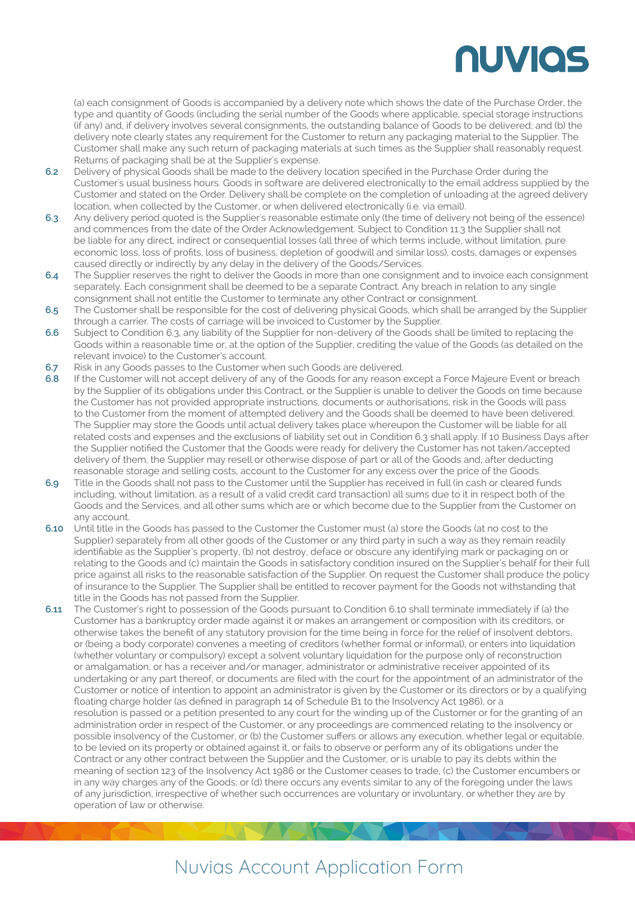# **NUVIOS**

(a) each consignment of Goods is accompanied by a delivery note which shows the date of the Purchase Order, the type and quantity of Goods (including the serial number of the Goods where applicable, special storage instructions (if any) and, if delivery involves several consignments, the outstanding balance of Goods to be delivered; and (b) the delivery note clearly states any requirement for the Customer to return any packaging material to the Supplier. The Customer shall make any such return of packaging materials at such times as the Supplier shall reasonably request. Returns of packaging shall be at the Supplier's expense.

- Delivery of physical Goods shall be made to the delivery location specified in the Purchase Order during the Customer's usual business hours. Goods in software are delivered electronically to the email address supplied by the Customer and stated on the Order. Delivery shall be complete on the completion of unloading at the agreed delivery location, when collected by the Customer, or when delivered electronically (i.e. via email). **6.2**
- Any delivery period quoted is the Supplier's reasonable estimate only (the time of delivery not being of the essence) and commences from the date of the Order Acknowledgement. Subject to Condition 11.3 the Supplier shall not be liable for any direct, indirect or consequential losses (all three of which terms include, without limitation, pure economic loss, loss of profits, loss of business, depletion of goodwill and similar loss), costs, damages or expenses caused directly or indirectly by any delay in the delivery of the Goods/Services. **6.3**
- The Supplier reserves the right to deliver the Goods in more than one consignment and to invoice each consignment separately. Each consignment shall be deemed to be a separate Contract. Any breach in relation to any single consignment shall not entitle the Customer to terminate any other Contract or consignment. **6.4**
- The Customer shall be responsible for the cost of delivering physical Goods, which shall be arranged by the Supplier through a carrier. The costs of carriage will be invoiced to Customer by the Supplier. **6.5**
- Subject to Condition 6.3, any liability of the Supplier for non-delivery of the Goods shall be limited to replacing the Goods within a reasonable time or, at the option of the Supplier, crediting the value of the Goods (as detailed on the relevant invoice) to the Customer's account. **6.6**
- Risk in any Goods passes to the Customer when such Goods are delivered. **6.7**
- If the Customer will not accept delivery of any of the Goods for any reason except a Force Majeure Event or breach by the Supplier of its obligations under this Contract, or the Supplier is unable to deliver the Goods on time because the Customer has not provided appropriate instructions, documents or authorisations, risk in the Goods will pass to the Customer from the moment of attempted delivery and the Goods shall be deemed to have been delivered. The Supplier may store the Goods until actual delivery takes place whereupon the Customer will be liable for all related costs and expenses and the exclusions of liability set out in Condition 6.3 shall apply. If 10 Business Days after the Supplier notified the Customer that the Goods were ready for delivery the Customer has not taken/accepted delivery of them, the Supplier may resell or otherwise dispose of part or all of the Goods and, after deducting reasonable storage and selling costs, account to the Customer for any excess over the price of the Goods. **6.8**
- Title in the Goods shall not pass to the Customer until the Supplier has received in full (in cash or cleared funds including, without limitation, as a result of a valid credit card transaction) all sums due to it in respect both of the Goods and the Services, and all other sums which are or which become due to the Supplier from the Customer on any account. **6.9**
- Until title in the Goods has passed to the Customer the Customer must (a) store the Goods (at no cost to the **6.10** Supplier) separately from all other goods of the Customer or any third party in such a way as they remain readily identifiable as the Supplier's property, (b) not destroy, deface or obscure any identifying mark or packaging on or relating to the Goods and (c) maintain the Goods in satisfactory condition insured on the Supplier's behalf for their full price against all risks to the reasonable satisfaction of the Supplier. On request the Customer shall produce the policy of insurance to the Supplier. The Supplier shall be entitled to recover payment for the Goods not withstanding that title in the Goods has not passed from the Supplier.
- The Customer's right to possession of the Goods pursuant to Condition 6.10 shall terminate immediately if (a) the Customer has a bankruptcy order made against it or makes an arrangement or composition with its creditors, or otherwise takes the benefit of any statutory provision for the time being in force for the relief of insolvent debtors, or (being a body corporate) convenes a meeting of creditors (whether formal or informal), or enters into liquidation (whether voluntary or compulsory) except a solvent voluntary liquidation for the purpose only of reconstruction or amalgamation, or has a receiver and/or manager, administrator or administrative receiver appointed of its undertaking or any part thereof, or documents are filed with the court for the appointment of an administrator of the Customer or notice of intention to appoint an administrator is given by the Customer or its directors or by a qualifying floating charge holder (as defined in paragraph 14 of Schedule B1 to the Insolvency Act 1986), or a resolution is passed or a petition presented to any court for the winding up of the Customer or for the granting of an administration order in respect of the Customer, or any proceedings are commenced relating to the insolvency or possible insolvency of the Customer, or (b) the Customer suffers or allows any execution, whether legal or equitable, to be levied on its property or obtained against it, or fails to observe or perform any of its obligations under the Contract or any other contract between the Supplier and the Customer, or is unable to pay its debts within the meaning of section 123 of the Insolvency Act 1986 or the Customer ceases to trade, (c) the Customer encumbers or in any way charges any of the Goods; or (d) there occurs any events similar to any of the foregoing under the laws of any jurisdiction, irrespective of whether such occurrences are voluntary or involuntary, or whether they are by operation of law or otherwise. **6.11**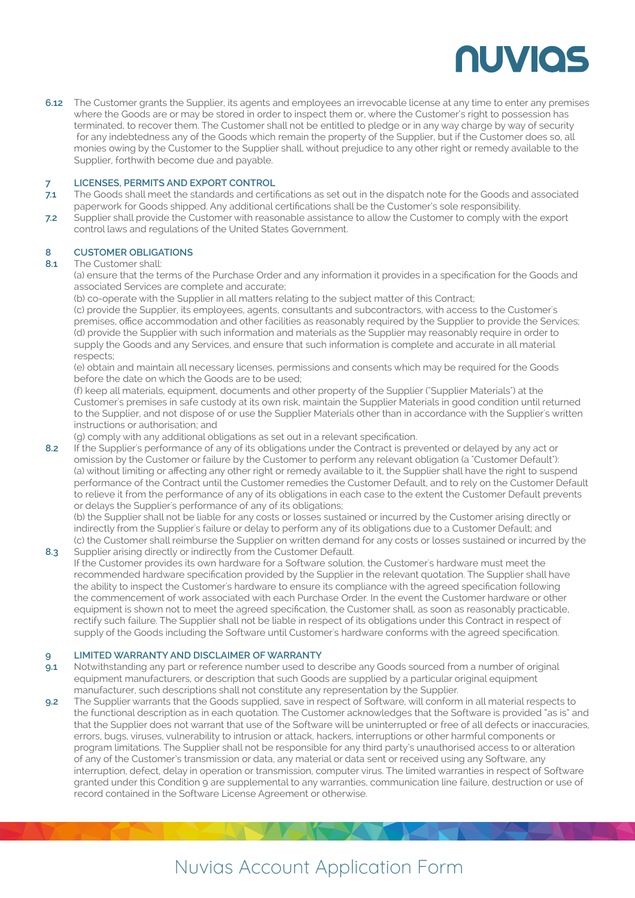

The Customer grants the Supplier, its agents and employees an irrevocable license at any time to enter any premises **6.12** where the Goods are or may be stored in order to inspect them or, where the Customer's right to possession has terminated, to recover them. The Customer shall not be entitled to pledge or in any way charge by way of security for any indebtedness any of the Goods which remain the property of the Supplier, but if the Customer does so, all monies owing by the Customer to the Supplier shall, without prejudice to any other right or remedy available to the Supplier, forthwith become due and payable.

#### **LICENSES, PERMITS AND EXPORT CONTROL 7**

- The Goods shall meet the standards and certifications as set out in the dispatch note for the Goods and associated paperwork for Goods shipped. Any additional certifications shall be the Customer's sole responsibility. **7.1**
- Supplier shall provide the Customer with reasonable assistance to allow the Customer to comply with the export control laws and regulations of the United States Government. **7.2**

### **CUSTOMER OBLIGATIONS 8**

#### The Customer shall: **8.1**

(a) ensure that the terms of the Purchase Order and any information it provides in a specification for the Goods and associated Services are complete and accurate;

(b) co-operate with the Supplier in all matters relating to the subject matter of this Contract;

(c) provide the Supplier, its employees, agents, consultants and subcontractors, with access to the Customer's premises, office accommodation and other facilities as reasonably required by the Supplier to provide the Services; (d) provide the Supplier with such information and materials as the Supplier may reasonably require in order to supply the Goods and any Services, and ensure that such information is complete and accurate in all material respects;

(e) obtain and maintain all necessary licenses, permissions and consents which may be required for the Goods before the date on which the Goods are to be used;

(f) keep all materials, equipment, documents and other property of the Supplier ("Supplier Materials") at the Customer's premises in safe custody at its own risk, maintain the Supplier Materials in good condition until returned to the Supplier, and not dispose of or use the Supplier Materials other than in accordance with the Supplier's written instructions or authorisation; and

(g) comply with any additional obligations as set out in a relevant specification.

If the Supplier's performance of any of its obligations under the Contract is prevented or delayed by any act or omission by the Customer or failure by the Customer to perform any relevant obligation (a "Customer Default"): (a) without limiting or affecting any other right or remedy available to it, the Supplier shall have the right to suspend performance of the Contract until the Customer remedies the Customer Default, and to rely on the Customer Default to relieve it from the performance of any of its obligations in each case to the extent the Customer Default prevents or delays the Supplier's performance of any of its obligations; **8.2**

(b) the Supplier shall not be liable for any costs or losses sustained or incurred by the Customer arising directly or indirectly from the Supplier's failure or delay to perform any of its obligations due to a Customer Default; and (c) the Customer shall reimburse the Supplier on written demand for any costs or losses sustained or incurred by the

Supplier arising directly or indirectly from the Customer Default. If the Customer provides its own hardware for a Software solution, the Customer's hardware must meet the recommended hardware specification provided by the Supplier in the relevant quotation. The Supplier shall have the ability to inspect the Customer's hardware to ensure its compliance with the agreed specification following the commencement of work associated with each Purchase Order. In the event the Customer hardware or other equipment is shown not to meet the agreed specification, the Customer shall, as soon as reasonably practicable, rectify such failure. The Supplier shall not be liable in respect of its obligations under this Contract in respect of supply of the Goods including the Software until Customer's hardware conforms with the agreed specification. **8.3**

#### **LIMITED WARRANTY AND DISCLAIMER OF WARRANTY 9**

- Notwithstanding any part or reference number used to describe any Goods sourced from a number of original equipment manufacturers, or description that such Goods are supplied by a particular original equipment manufacturer, such descriptions shall not constitute any representation by the Supplier. **9.1**
- The Supplier warrants that the Goods supplied, save in respect of Software, will conform in all material respects to the functional description as in each quotation. The Customer acknowledges that the Software is provided "as is" and that the Supplier does not warrant that use of the Software will be uninterrupted or free of all defects or inaccuracies, errors, bugs, viruses, vulnerability to intrusion or attack, hackers, interruptions or other harmful components or program limitations. The Supplier shall not be responsible for any third party's unauthorised access to or alteration of any of the Customer's transmission or data, any material or data sent or received using any Software, any interruption, defect, delay in operation or transmission, computer virus. The limited warranties in respect of Software granted under this Condition 9 are supplemental to any warranties, communication line failure, destruction or use of record contained in the Software License Agreement or otherwise. **9.2**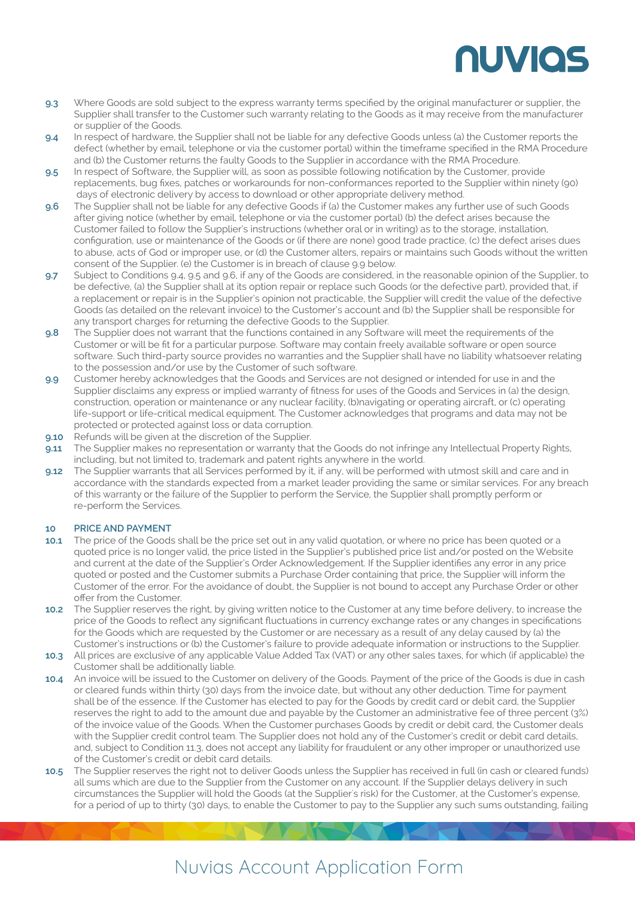# NUVIOS

- Where Goods are sold subject to the express warranty terms specified by the original manufacturer or supplier, the Supplier shall transfer to the Customer such warranty relating to the Goods as it may receive from the manufacturer or supplier of the Goods. **9.3**
- In respect of hardware, the Supplier shall not be liable for any defective Goods unless (a) the Customer reports the defect (whether by email, telephone or via the customer portal) within the timeframe specified in the RMA Procedure and (b) the Customer returns the faulty Goods to the Supplier in accordance with the RMA Procedure. **9.4**
- In respect of Software, the Supplier will, as soon as possible following notification by the Customer, provide replacements, bug fixes, patches or workarounds for non-conformances reported to the Supplier within ninety (90) days of electronic delivery by access to download or other appropriate delivery method. **9.5**
- The Supplier shall not be liable for any defective Goods if (a) the Customer makes any further use of such Goods after giving notice (whether by email, telephone or via the customer portal) (b) the defect arises because the Customer failed to follow the Supplier's instructions (whether oral or in writing) as to the storage, installation, configuration, use or maintenance of the Goods or (if there are none) good trade practice, (c) the defect arises dues to abuse, acts of God or improper use, or (d) the Customer alters, repairs or maintains such Goods without the written consent of the Supplier. (e) the Customer is in breach of clause 9.9 below. **9.6**
- Subject to Conditions 9.4, 9.5 and 9.6, if any of the Goods are considered, in the reasonable opinion of the Supplier, to be defective, (a) the Supplier shall at its option repair or replace such Goods (or the defective part), provided that, if a replacement or repair is in the Supplier's opinion not practicable, the Supplier will credit the value of the defective Goods (as detailed on the relevant invoice) to the Customer's account and (b) the Supplier shall be responsible for any transport charges for returning the defective Goods to the Supplier. **9.7**
- The Supplier does not warrant that the functions contained in any Software will meet the requirements of the Customer or will be fit for a particular purpose. Software may contain freely available software or open source software. Such third-party source provides no warranties and the Supplier shall have no liability whatsoever relating to the possession and/or use by the Customer of such software. **9.8**
- Customer hereby acknowledges that the Goods and Services are not designed or intended for use in and the Supplier disclaims any express or implied warranty of fitness for uses of the Goods and Services in (a) the design, construction, operation or maintenance or any nuclear facility, (b)navigating or operating aircraft, or (c) operating life-support or life-critical medical equipment. The Customer acknowledges that programs and data may not be protected or protected against loss or data corruption. **9.9**
- Refunds will be given at the discretion of the Supplier. **9.10**
- The Supplier makes no representation or warranty that the Goods do not infringe any Intellectual Property Rights, including, but not limited to, trademark and patent rights anywhere in the world. **9.11**
- The Supplier warrants that all Services performed by it, if any, will be performed with utmost skill and care and in accordance with the standards expected from a market leader providing the same or similar services. For any breach of this warranty or the failure of the Supplier to perform the Service, the Supplier shall promptly perform or re-perform the Services. **9.12**

### **PRICE AND PAYMENT 10**

- The price of the Goods shall be the price set out in any valid quotation, or where no price has been quoted or a quoted price is no longer valid, the price listed in the Supplier's published price list and/or posted on the Website and current at the date of the Supplier's Order Acknowledgement. If the Supplier identifies any error in any price quoted or posted and the Customer submits a Purchase Order containing that price, the Supplier will inform the Customer of the error. For the avoidance of doubt, the Supplier is not bound to accept any Purchase Order or other offer from the Customer. **10.1**
- The Supplier reserves the right, by giving written notice to the Customer at any time before delivery, to increase the price of the Goods to reflect any significant fluctuations in currency exchange rates or any changes in specifications for the Goods which are requested by the Customer or are necessary as a result of any delay caused by (a) the Customer's instructions or (b) the Customer's failure to provide adequate information or instructions to the Supplier. **10.2**
- 10.3 All prices are exclusive of any applicable Value Added Tax (VAT) or any other sales taxes, for which (if applicable) the Customer shall be additionally liable.
- 10.4 An invoice will be issued to the Customer on delivery of the Goods. Payment of the price of the Goods is due in cash or cleared funds within thirty (30) days from the invoice date, but without any other deduction. Time for payment shall be of the essence. If the Customer has elected to pay for the Goods by credit card or debit card, the Supplier reserves the right to add to the amount due and payable by the Customer an administrative fee of three percent (3%) of the invoice value of the Goods. When the Customer purchases Goods by credit or debit card, the Customer deals with the Supplier credit control team. The Supplier does not hold any of the Customer's credit or debit card details, and, subject to Condition 11.3, does not accept any liability for fraudulent or any other improper or unauthorized use of the Customer's credit or debit card details.
- 10.5 The Supplier reserves the right not to deliver Goods unless the Supplier has received in full (in cash or cleared funds) all sums which are due to the Supplier from the Customer on any account. If the Supplier delays delivery in such circumstances the Supplier will hold the Goods (at the Supplier's risk) for the Customer, at the Customer's expense, for a period of up to thirty (30) days, to enable the Customer to pay to the Supplier any such sums outstanding, failing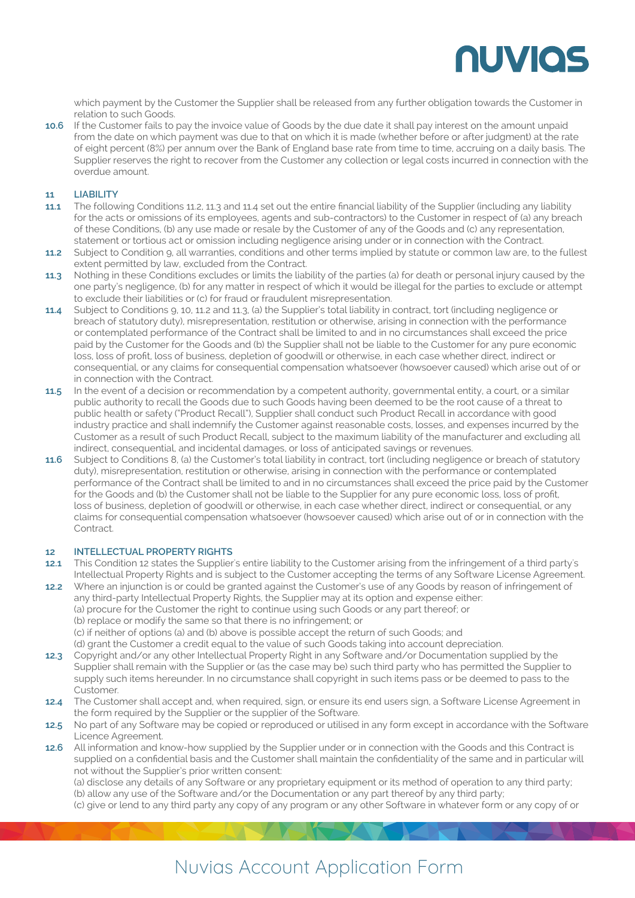

which payment by the Customer the Supplier shall be released from any further obligation towards the Customer in relation to such Goods.

10.6 If the Customer fails to pay the invoice value of Goods by the due date it shall pay interest on the amount unpaid from the date on which payment was due to that on which it is made (whether before or after judgment) at the rate of eight percent (8%) per annum over the Bank of England base rate from time to time, accruing on a daily basis. The Supplier reserves the right to recover from the Customer any collection or legal costs incurred in connection with the overdue amount.

### **LIABILITY 11**

- The following Conditions 11.2, 11.3 and 11.4 set out the entire financial liability of the Supplier (including any liability for the acts or omissions of its employees, agents and sub-contractors) to the Customer in respect of (a) any breach of these Conditions, (b) any use made or resale by the Customer of any of the Goods and (c) any representation, statement or tortious act or omission including negligence arising under or in connection with the Contract. **11.1**
- Subject to Condition 9, all warranties, conditions and other terms implied by statute or common law are, to the fullest extent permitted by law, excluded from the Contract. **11.2**
- Nothing in these Conditions excludes or limits the liability of the parties (a) for death or personal injury caused by the one party's negligence, (b) for any matter in respect of which it would be illegal for the parties to exclude or attempt to exclude their liabilities or (c) for fraud or fraudulent misrepresentation. **11.3**
- Subject to Conditions 9, 10, 11.2 and 11.3, (a) the Supplier's total liability in contract, tort (including negligence or breach of statutory duty), misrepresentation, restitution or otherwise, arising in connection with the performance or contemplated performance of the Contract shall be limited to and in no circumstances shall exceed the price paid by the Customer for the Goods and (b) the Supplier shall not be liable to the Customer for any pure economic loss, loss of profit, loss of business, depletion of goodwill or otherwise, in each case whether direct, indirect or consequential, or any claims for consequential compensation whatsoever (howsoever caused) which arise out of or in connection with the Contract. **11.4**
- In the event of a decision or recommendation by a competent authority, governmental entity, a court, or a similar **11.5** public authority to recall the Goods due to such Goods having been deemed to be the root cause of a threat to public health or safety ("Product Recall"), Supplier shall conduct such Product Recall in accordance with good industry practice and shall indemnify the Customer against reasonable costs, losses, and expenses incurred by the Customer as a result of such Product Recall, subject to the maximum liability of the manufacturer and excluding all indirect, consequential, and incidental damages, or loss of anticipated savings or revenues.
- 11.6 Subject to Conditions 8, (a) the Customer's total liability in contract, tort (including negligence or breach of statutory duty), misrepresentation, restitution or otherwise, arising in connection with the performance or contemplated performance of the Contract shall be limited to and in no circumstances shall exceed the price paid by the Customer for the Goods and (b) the Customer shall not be liable to the Supplier for any pure economic loss, loss of profit, loss of business, depletion of goodwill or otherwise, in each case whether direct, indirect or consequential, or any claims for consequential compensation whatsoever (howsoever caused) which arise out of or in connection with the Contract.

### **INTELLECTUAL PROPERTY RIGHTS 12**

This Condition 12 states the Supplier's entire liability to the Customer arising from the infringement of a third party's Intellectual Property Rights and is subject to the Customer accepting the terms of any Software License Agreement. **12.1**

Where an injunction is or could be granted against the Customer's use of any Goods by reason of infringement of any third-party Intellectual Property Rights, the Supplier may at its option and expense either: (a) procure for the Customer the right to continue using such Goods or any part thereof; or (b) replace or modify the same so that there is no infringement; or (c) if neither of options (a) and (b) above is possible accept the return of such Goods; and **12.2** 

(d) grant the Customer a credit equal to the value of such Goods taking into account depreciation.

- Copyright and/or any other Intellectual Property Right in any Software and/or Documentation supplied by the Supplier shall remain with the Supplier or (as the case may be) such third party who has permitted the Supplier to supply such items hereunder. In no circumstance shall copyright in such items pass or be deemed to pass to the Customer. **12.3**
- The Customer shall accept and, when required, sign, or ensure its end users sign, a Software License Agreement in the form required by the Supplier or the supplier of the Software. **12.4**
- No part of any Software may be copied or reproduced or utilised in any form except in accordance with the Software Licence Agreement. **12.5**
- 12.6 All information and know-how supplied by the Supplier under or in connection with the Goods and this Contract is supplied on a confidential basis and the Customer shall maintain the confidentiality of the same and in particular will not without the Supplier's prior written consent:

(a) disclose any details of any Software or any proprietary equipment or its method of operation to any third party; (b) allow any use of the Software and/or the Documentation or any part thereof by any third party; (c) give or lend to any third party any copy of any program or any other Software in whatever form or any copy of or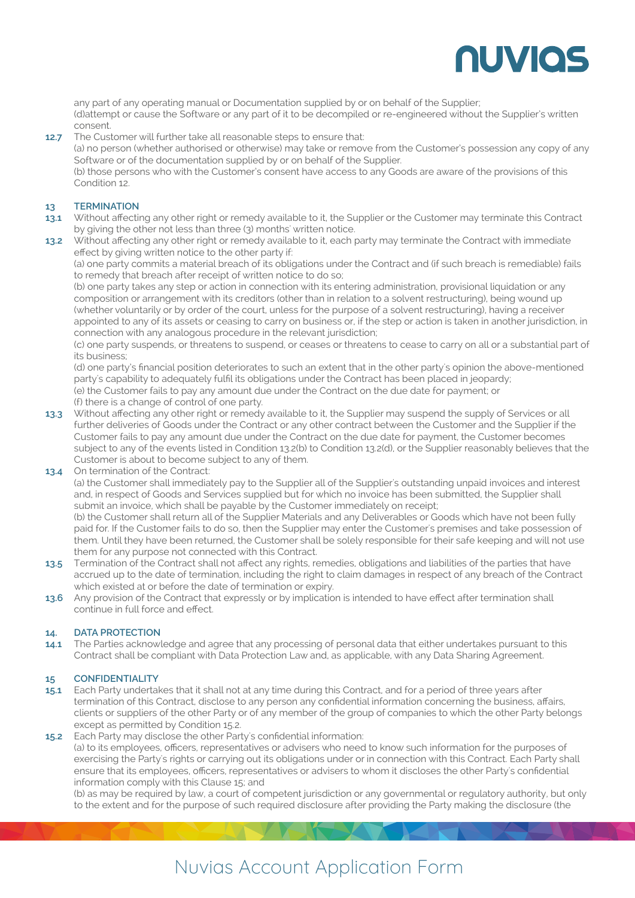

any part of any operating manual or Documentation supplied by or on behalf of the Supplier; (d)attempt or cause the Software or any part of it to be decompiled or re-engineered without the Supplier's written consent.

The Customer will further take all reasonable steps to ensure that: **12.7**

(a) no person (whether authorised or otherwise) may take or remove from the Customer's possession any copy of any Software or of the documentation supplied by or on behalf of the Supplier.

(b) those persons who with the Customer's consent have access to any Goods are aware of the provisions of this Condition 12.

### **TERMINATION 13**

- Without affecting any other right or remedy available to it, the Supplier or the Customer may terminate this Contract by giving the other not less than three (3) months' written notice. **13.1**
- Without affecting any other right or remedy available to it, each party may terminate the Contract with immediate effect by giving written notice to the other party if: **13.2**

(a) one party commits a material breach of its obligations under the Contract and (if such breach is remediable) fails to remedy that breach after receipt of written notice to do so;

(b) one party takes any step or action in connection with its entering administration, provisional liquidation or any composition or arrangement with its creditors (other than in relation to a solvent restructuring), being wound up (whether voluntarily or by order of the court, unless for the purpose of a solvent restructuring), having a receiver appointed to any of its assets or ceasing to carry on business or, if the step or action is taken in another jurisdiction, in connection with any analogous procedure in the relevant jurisdiction;

(c) one party suspends, or threatens to suspend, or ceases or threatens to cease to carry on all or a substantial part of its business;

(d) one party's financial position deteriorates to such an extent that in the other party's opinion the above-mentioned party's capability to adequately fulfil its obligations under the Contract has been placed in jeopardy; (e) the Customer fails to pay any amount due under the Contract on the due date for payment; or (f) there is a change of control of one party.

- Without affecting any other right or remedy available to it, the Supplier may suspend the supply of Services or all **13.3** further deliveries of Goods under the Contract or any other contract between the Customer and the Supplier if the Customer fails to pay any amount due under the Contract on the due date for payment, the Customer becomes subject to any of the events listed in Condition 13.2(b) to Condition 13.2(d), or the Supplier reasonably believes that the Customer is about to become subject to any of them.
- 13.4 On termination of the Contract:

(a) the Customer shall immediately pay to the Supplier all of the Supplier's outstanding unpaid invoices and interest and, in respect of Goods and Services supplied but for which no invoice has been submitted, the Supplier shall submit an invoice, which shall be payable by the Customer immediately on receipt;

(b) the Customer shall return all of the Supplier Materials and any Deliverables or Goods which have not been fully paid for. If the Customer fails to do so, then the Supplier may enter the Customer's premises and take possession of them. Until they have been returned, the Customer shall be solely responsible for their safe keeping and will not use them for any purpose not connected with this Contract.

- Termination of the Contract shall not affect any rights, remedies, obligations and liabilities of the parties that have accrued up to the date of termination, including the right to claim damages in respect of any breach of the Contract which existed at or before the date of termination or expiry. **13.5**
- 13.6 Any provision of the Contract that expressly or by implication is intended to have effect after termination shall continue in full force and effect.

### **DATA PROTECTION 14.**

The Parties acknowledge and agree that any processing of personal data that either undertakes pursuant to this Contract shall be compliant with Data Protection Law and, as applicable, with any Data Sharing Agreement. **14.1**

### **CONFIDENTIALITY 15**

Each Party undertakes that it shall not at any time during this Contract, and for a period of three years after termination of this Contract, disclose to any person any confidential information concerning the business, affairs, clients or suppliers of the other Party or of any member of the group of companies to which the other Party belongs except as permitted by Condition 15.2. **15.1**

**15.2** Each Party may disclose the other Party's confidential information: (a) to its employees, officers, representatives or advisers who need to know such information for the purposes of exercising the Party's rights or carrying out its obligations under or in connection with this Contract. Each Party shall ensure that its employees, officers, representatives or advisers to whom it discloses the other Party's confidential information comply with this Clause 15; and

(b) as may be required by law, a court of competent jurisdiction or any governmental or regulatory authority, but only to the extent and for the purpose of such required disclosure after providing the Party making the disclosure (the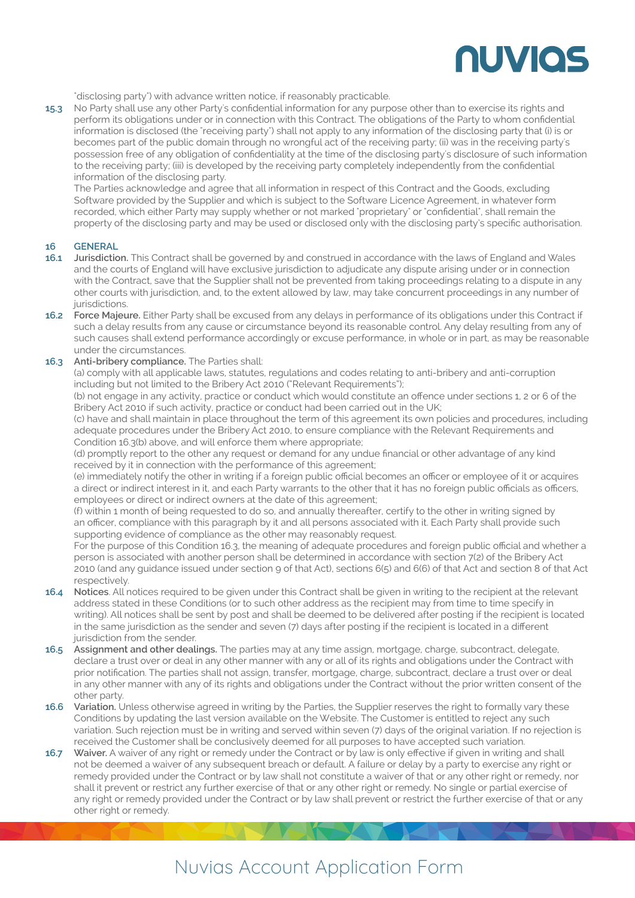

"disclosing party") with advance written notice, if reasonably practicable.

No Party shall use any other Party's confidential information for any purpose other than to exercise its rights and perform its obligations under or in connection with this Contract. The obligations of the Party to whom confidential information is disclosed (the "receiving party") shall not apply to any information of the disclosing party that (i) is or becomes part of the public domain through no wrongful act of the receiving party; (ii) was in the receiving party's possession free of any obligation of confidentiality at the time of the disclosing party's disclosure of such information to the receiving party; (iii) is developed by the receiving party completely independently from the confidential information of the disclosing party. **15.3**

The Parties acknowledge and agree that all information in respect of this Contract and the Goods, excluding Software provided by the Supplier and which is subject to the Software Licence Agreement, in whatever form recorded, which either Party may supply whether or not marked "proprietary" or "confidential", shall remain the property of the disclosing party and may be used or disclosed only with the disclosing party's specific authorisation.

### **GENERAL 16**

- **Jurisdiction.** This Contract shall be governed by and construed in accordance with the laws of England and Wales and the courts of England will have exclusive jurisdiction to adjudicate any dispute arising under or in connection with the Contract, save that the Supplier shall not be prevented from taking proceedings relating to a dispute in any other courts with jurisdiction, and, to the extent allowed by law, may take concurrent proceedings in any number of jurisdictions. **16.1**
- **Force Majeure.** Either Party shall be excused from any delays in performance of its obligations under this Contract if **16.2** such a delay results from any cause or circumstance beyond its reasonable control. Any delay resulting from any of such causes shall extend performance accordingly or excuse performance, in whole or in part, as may be reasonable under the circumstances.

### **Anti-bribery compliance.** The Parties shall: **16.3**

(a) comply with all applicable laws, statutes, regulations and codes relating to anti-bribery and anti-corruption including but not limited to the Bribery Act 2010 ("Relevant Requirements");

(b) not engage in any activity, practice or conduct which would constitute an offence under sections 1, 2 or 6 of the Bribery Act 2010 if such activity, practice or conduct had been carried out in the UK;

(c) have and shall maintain in place throughout the term of this agreement its own policies and procedures, including adequate procedures under the Bribery Act 2010, to ensure compliance with the Relevant Requirements and Condition 16.3(b) above, and will enforce them where appropriate;

(d) promptly report to the other any request or demand for any undue financial or other advantage of any kind received by it in connection with the performance of this agreement;

(e) immediately notify the other in writing if a foreign public official becomes an officer or employee of it or acquires a direct or indirect interest in it, and each Party warrants to the other that it has no foreign public officials as officers, employees or direct or indirect owners at the date of this agreement;

(f) within 1 month of being requested to do so, and annually thereafter, certify to the other in writing signed by an officer, compliance with this paragraph by it and all persons associated with it. Each Party shall provide such supporting evidence of compliance as the other may reasonably request.

For the purpose of this Condition 16.3, the meaning of adequate procedures and foreign public official and whether a person is associated with another person shall be determined in accordance with section 7(2) of the Bribery Act 2010 (and any guidance issued under section 9 of that Act), sections 6(5) and 6(6) of that Act and section 8 of that Act respectively.

- **Notices**. All notices required to be given under this Contract shall be given in writing to the recipient at the relevant **16.4**  address stated in these Conditions (or to such other address as the recipient may from time to time specify in writing). All notices shall be sent by post and shall be deemed to be delivered after posting if the recipient is located in the same jurisdiction as the sender and seven (7) days after posting if the recipient is located in a different jurisdiction from the sender.
- **Assignment and other dealings.** The parties may at any time assign, mortgage, charge, subcontract, delegate, **16.5** declare a trust over or deal in any other manner with any or all of its rights and obligations under the Contract with prior notification. The parties shall not assign, transfer, mortgage, charge, subcontract, declare a trust over or deal in any other manner with any of its rights and obligations under the Contract without the prior written consent of the other party.
- **Variation.** Unless otherwise agreed in writing by the Parties, the Supplier reserves the right to formally vary these Conditions by updating the last version available on the Website. The Customer is entitled to reject any such variation. Such rejection must be in writing and served within seven (7) days of the original variation. If no rejection is received the Customer shall be conclusively deemed for all purposes to have accepted such variation. **16.6**
- **Waiver.** A waiver of any right or remedy under the Contract or by law is only effective if given in writing and shall not be deemed a waiver of any subsequent breach or default. A failure or delay by a party to exercise any right or remedy provided under the Contract or by law shall not constitute a waiver of that or any other right or remedy, nor shall it prevent or restrict any further exercise of that or any other right or remedy. No single or partial exercise of any right or remedy provided under the Contract or by law shall prevent or restrict the further exercise of that or any other right or remedy. **16.7**